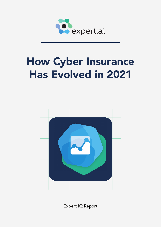

# How Cyber Insurance Has Evolved in 2021



Expert IQ Report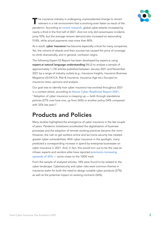

The insurance industry is undergoing unprecedented change to remain<br>relevant in a risk environment that is evolving even faster as result of the pandemic. According to [recent research](https://www.informationweek.com/security-and-risk-strategy/the-cyber-insurance-market-in-flux), global cyber-attacks increased by nearly a third in the first half of 2021. And not only did ransomware incidents jump 93%, but the average ransom demand also increased an astounding 518%, while actual payments rose more than 80%.

As a result, cyber insurance has become especially critical for many companies. Yet, the volume of attacks and their success has caused the price of coverage to climb dramatically, and in general, confusion reigns.

The following Expert IQ Report has been developed by expert.ai using expert.ai natural language understanding (NLU) to analyze a sample of approximately 1,130 articles published between January 2021 and November 2021 by a range of industry outlets (e.g., Insurance Insights, Insurance Business Magazine US/UK/CA, Risk & Insurance, Insurance Age etc.) focused on insurance news, opinions and analysis.

Our goal was to identify how cyber insurance has evolved throughout 2021 in a context where, according to [Hiscox Cyber Readiness Report 2021](https://www.hiscox.co.uk/sites/default/files/documents/2021-04/21486-Hiscox-Cyber-Readiness-Report-2021-UK.pdf), "Adoption of cyber insurance is creeping up — both through standalone policies (27% now have one, up from 26%) or another policy (34% compared with 32% last year.)"

#### Products and Policies

Many studies highlighted the emergence of cyber insurance in the last couple of years. Pandemic lockdowns accelerated the digitalization of business processes and the adoption of remote working practices became the norm. However, the rush to get workers online and lax home security has created greater cyber vulnerabilities. With cyber insurance in the spotlight, many predicted a corresponding increase in spend by enterprise businesses on cyber insurance in 2021. And, in fact, this would turn out to be the case as infosec experts and vendors alike have reported [premiums increasing](https://www.techtarget.com/searchsecurity/news/252507932/Cyber-insurance-premiums-costs-skyrocket-as-attacks-surge) [upwards of 50%](https://www.techtarget.com/searchsecurity/news/252507932/Cyber-insurance-premiums-costs-skyrocket-as-attacks-surge) — some closer to the 100% mark.

From the sample of analyzed articles, 18% were found to be related to the cyber landscape. Cybersecurity and cyber risks were common themes in insurance realm for both the need to design suitable cyber products (57%) as well as the potential impact on existing contracts (36%).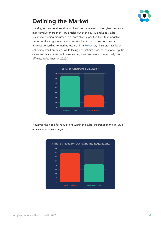

## Defining the Market

Looking at the overall sentiment of articles correlated to the cyber insurance market value (more than 14% articles out of the 1,130 analyzed), cyber insurance is being discussed in a more slightly positive light than negative. However, this might seem a countertrend according to some industry analysts. According to market research firm [Forrester](https://www.insurancetimes.co.uk/news/challenging-cyber-insurance-market-in-2022-will-force-major-insurer-withdrawal-report/1439474.article), "Insurers have been collecting small premiums while facing near infinite risks. At least one top-10 cyber insurance carrier will cease writing new business and selectively run off existing business in 2022."



However, the need for regulations within the cyber insurance market (10% of articles) is seen as a negative.

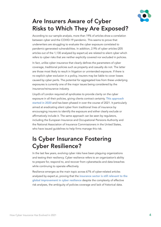

### Are Insurers Aware of Cyber Risks to Which They Are Exposed?

According to our sample analysis, more than 19% of articles show a correlation between cyber and the COVID-19 pandemic. This seems to prove that underwriters are struggling to evaluate the cyber exposure correlated to pandemic-generated vulnerabilities. In addition, 2.9% of cyber articles (205 articles out of the 1,130 analyzed by expert.ai) are related to silent cyber which refers to cyber risks that are neither explicitly covered nor excluded in policies.

In fact, unlike cyber insurance that clearly defines the parameters of cyber coverage, traditional policies such as property and casualty do not. The latter are those most likely to result in litigation or unintended exposure. If there is no explicit cyber exclusion in a policy, insurers may be liable to cover losses caused by cyber perils. The potential for aggregated loss from these underlying exposures is currently one of the major issues being considered by the insurance/reinsurance industry.

Lloyd's of London required all syndicates to provide clarity on the cyber exposure in all their policies, giving clients contract certainty. [This approach](https://www.marshmclennan.com/insights/publications/2020/november/why-2020-has-made-the-ever-evolving-cyber-landscape-even-more-dynamic.html) [started in 2020](https://www.marshmclennan.com/insights/publications/2020/november/why-2020-has-made-the-ever-evolving-cyber-landscape-even-more-dynamic.html) and has been phased in over the course of 2021. It particularly aimed at eradicating silent cyber from traditional lines of insurance by encouraging insurers to identify the exposure and either clearly exclude or affirmatively include it. The same approach can be seen by regulators, including the European Insurance and Occupational Pensions Authority and the National Association of Insurance Commissioners in the United States, who have issued quidelines to help firms manage this risk.

#### Is Cyber Insurance Fostering Cyber Resilience?

In the last few years, evolving cyber risks have been plaguing organizations and testing their resiliency. Cyber resilience refers to an organization's ability to prepare for, respond to, and recover from cyberattacks and data breaches while continuing to operate effectively.

Resilience emerges as the main topic across 67% of cyber-related articles analyzed by expert.ai, proving that the insurance sector is still relevant to the [global improvement in cyber resilience](https://www.axa.com/en/insights/insurance-as-a-key-to-cyber-resilience) despite the complexity of effective risk analyses, the ambiguity of policies coverage and lack of historical data.